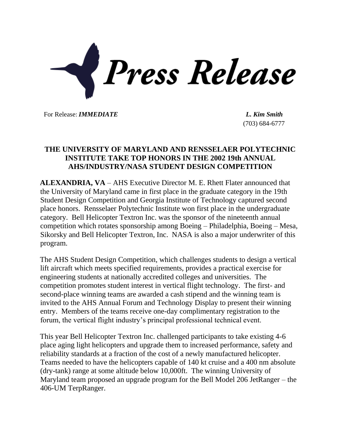

For Release: *IMMEDIATE L. Kim Smith*

(703) 684-6777

## **THE UNIVERSITY OF MARYLAND AND RENSSELAER POLYTECHNIC INSTITUTE TAKE TOP HONORS IN THE 2002 19th ANNUAL AHS/INDUSTRY/NASA STUDENT DESIGN COMPETITION**

**ALEXANDRIA, VA** – AHS Executive Director M. E. Rhett Flater announced that the University of Maryland came in first place in the graduate category in the 19th Student Design Competition and Georgia Institute of Technology captured second place honors. Rensselaer Polytechnic Institute won first place in the undergraduate category. Bell Helicopter Textron Inc. was the sponsor of the nineteenth annual competition which rotates sponsorship among Boeing – Philadelphia, Boeing – Mesa, Sikorsky and Bell Helicopter Textron, Inc. NASA is also a major underwriter of this program.

The AHS Student Design Competition, which challenges students to design a vertical lift aircraft which meets specified requirements, provides a practical exercise for engineering students at nationally accredited colleges and universities. The competition promotes student interest in vertical flight technology. The first- and second-place winning teams are awarded a cash stipend and the winning team is invited to the AHS Annual Forum and Technology Display to present their winning entry. Members of the teams receive one-day complimentary registration to the forum, the vertical flight industry's principal professional technical event.

This year Bell Helicopter Textron Inc. challenged participants to take existing 4-6 place aging light helicopters and upgrade them to increased performance, safety and reliability standards at a fraction of the cost of a newly manufactured helicopter. Teams needed to have the helicopters capable of 140 kt cruise and a 400 nm absolute (dry-tank) range at some altitude below 10,000ft. The winning University of Maryland team proposed an upgrade program for the Bell Model 206 JetRanger – the 406-UM TerpRanger.